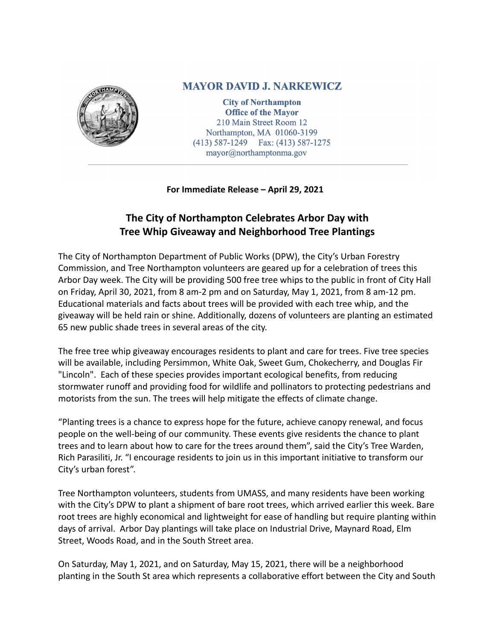

## **MAYOR DAVID J. NARKEWICZ**

**City of Northampton Office of the Mayor** 210 Main Street Room 12 Northampton, MA 01060-3199  $(413)$  587-1249 Fax:  $(413)$  587-1275  $mayor @ north amptonma.gov$ 

## **For Immediate Release – April 29, 2021**

## **The City of Northampton Celebrates Arbor Day with Tree Whip Giveaway and Neighborhood Tree Plantings**

The City of Northampton Department of Public Works (DPW), the City's Urban Forestry Commission, and Tree Northampton volunteers are geared up for a celebration of trees this Arbor Day week. The City will be providing 500 free tree whips to the public in front of City Hall on Friday, April 30, 2021, from 8 am-2 pm and on Saturday, May 1, 2021, from 8 am-12 pm. Educational materials and facts about trees will be provided with each tree whip, and the giveaway will be held rain or shine. Additionally, dozens of volunteers are planting an estimated 65 new public shade trees in several areas of the city.

The free tree whip giveaway encourages residents to plant and care for trees. Five tree species will be available, including Persimmon, White Oak, Sweet Gum, Chokecherry, and Douglas Fir "Lincoln". Each of these species provides important ecological benefits, from reducing stormwater runoff and providing food for wildlife and pollinators to protecting pedestrians and motorists from the sun. The trees will help mitigate the effects of climate change.

"Planting trees is a chance to express hope for the future, achieve canopy renewal, and focus people on the well-being of our community. These events give residents the chance to plant trees and to learn about how to care for the trees around them", said the City's Tree Warden, Rich Parasiliti, Jr. "I encourage residents to join us in this important initiative to transform our City's urban forest".

Tree Northampton volunteers, students from UMASS, and many residents have been working with the City's DPW to plant a shipment of bare root trees, which arrived earlier this week. Bare root trees are highly economical and lightweight for ease of handling but require planting within days of arrival. Arbor Day plantings will take place on Industrial Drive, Maynard Road, Elm Street, Woods Road, and in the South Street area.

On Saturday, May 1, 2021, and on Saturday, May 15, 2021, there will be a neighborhood planting in the South St area which represents a collaborative effort between the City and South